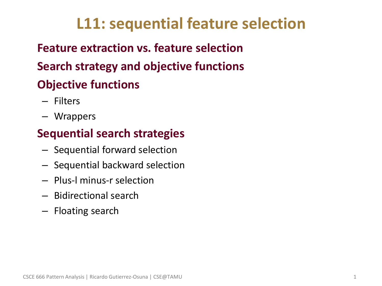## **L11: sequential feature selection**

## • **Feature extraction vs. feature selection** • **Search strategy and objective functions** • **Objective functions**

- Filters
- Wrappers

## • **Sequential search strategies**

- Sequential forward selection
- Sequential backward selection
- Plus-l minus-r selection
- Bidirectional search
- Floating search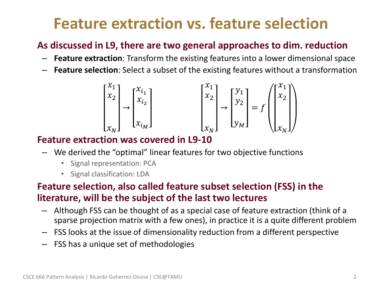## **Feature extraction vs. feature selection**

#### • **As discussed in L9, there are two general approaches to dim. reduction**

- **Feature extraction**: Transform the existing features into a lower dimensional space
- **Feature selection**: Select a subset of the existing features without a transformation

$$
\begin{bmatrix} x_1 \\ x_2 \\ \vdots \\ x_N \end{bmatrix} \rightarrow \begin{bmatrix} x_{i_1} \\ x_{i_2} \\ \vdots \\ x_{i_M} \end{bmatrix} \qquad \qquad \begin{bmatrix} x_1 \\ x_2 \\ \vdots \\ x_N \end{bmatrix} \rightarrow \begin{bmatrix} y_1 \\ y_2 \\ \vdots \\ y_M \end{bmatrix} = f \left( \begin{bmatrix} x_1 \\ x_2 \\ \vdots \\ x_N \end{bmatrix} \right)
$$

#### • **Feature extraction was covered in L9-10**

- We derived the "optimal" linear features for two objective functions
	- Signal representation: PCA
	- Signal classification: LDA

#### • **Feature selection, also called feature subset selection (FSS) in the literature, will be the subject of the last two lectures**

- Although FSS can be thought of as a special case of feature extraction (think of a sparse projection matrix with a few ones), in practice it is a quite different problem
- FSS looks at the issue of dimensionality reduction from a different perspective
- FSS has a unique set of methodologies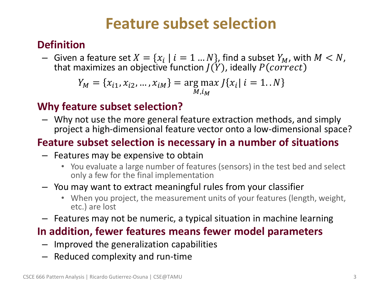## **Feature subset selection**

### • **Definition**

- Given a feature set  $X = \{x_i \mid i = 1 \dots N\}$ , find a subset  $Y_M$ , with  $M < N$ , that maximizes an objective function  $J(Y)$ , ideally  $P(correct)$ 

$$
Y_M = \{x_{i1}, x_{i2}, \dots, x_{iM}\} = \underset{M, i_M}{\arg \max} J\{x_i | i = 1..N\}
$$

### • **Why feature subset selection?**

– Why not use the more general feature extraction methods, and simply project a high-dimensional feature vector onto a low-dimensional space?

### • **Feature subset selection is necessary in a number of situations**

- Features may be expensive to obtain
	- You evaluate a large number of features (sensors) in the test bed and select only a few for the final implementation

#### – You may want to extract meaningful rules from your classifier

- When you project, the measurement units of your features (length, weight, etc.) are lost
- Features may not be numeric, a typical situation in machine learning

### • **In addition, fewer features means fewer model parameters**

- Improved the generalization capabilities
- Reduced complexity and run-time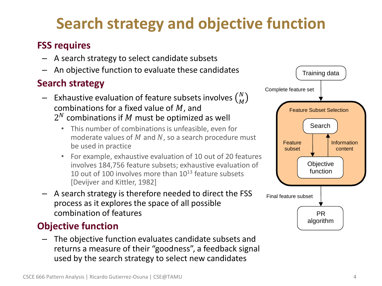# **Search strategy and objective function**

#### • **FSS requires**

- A search strategy to select candidate subsets
- An objective function to evaluate these candidates

### • **Search strategy**

- $-$  Exhaustive evaluation of feature subsets involves  $\binom{N}{M}$ combinations for a fixed value of  $M$ , and
	- $2^N$  combinations if  $M$  must be optimized as well
		- This number of combinations is unfeasible, even for moderate values of  $M$  and  $N$ , so a search procedure must be used in practice
		- For example, exhaustive evaluation of 10 out of 20 features involves 184,756 feature subsets; exhaustive evaluation of 10 out of 100 involves more than  $10^{13}$  feature subsets [Devijver and Kittler, 1982]
- A search strategy is therefore needed to direct the FSS process as it explores the space of all possible combination of features

### • **Objective function**

– The objective function evaluates candidate subsets and returns a measure of their "goodness", a feedback signal used by the search strategy to select new candidates

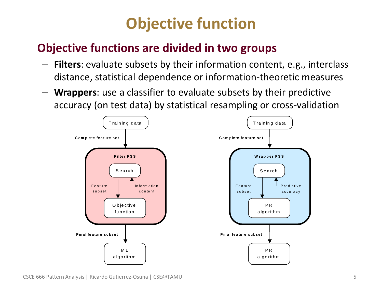## **Objective function**

## • **Objective functions are divided in two groups**

- **Filters**: evaluate subsets by their information content, e.g., interclass distance, statistical dependence or information-theoretic measures
- **Wrappers**: use a classifier to evaluate subsets by their predictive accuracy (on test data) by statistical resampling or cross-validation

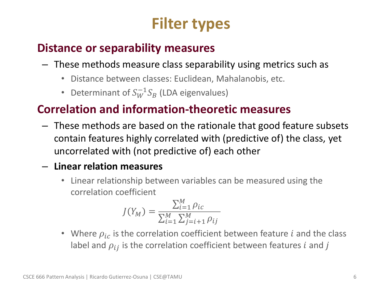# **Filter types**

## • **Distance or separability measures**

- These methods measure class separability using metrics such as
	- Distance between classes: Euclidean, Mahalanobis, etc.
	- Determinant of  $S_W^{-1}S_B$  (LDA eigenvalues)

## • **Correlation and information-theoretic measures**

– These methods are based on the rationale that good feature subsets contain features highly correlated with (predictive of) the class, yet uncorrelated with (not predictive of) each other

### – **Linear relation measures**

• Linear relationship between variables can be measured using the correlation coefficient

$$
J(Y_M) = \frac{\sum_{i=1}^{M} \rho_{ic}}{\sum_{i=1}^{M} \sum_{j=i+1}^{M} \rho_{ij}}
$$

• Where  $\rho_{ic}$  is the correlation coefficient between feature *i* and the class label and  $\rho_{ij}$  is the correlation coefficient between features i and j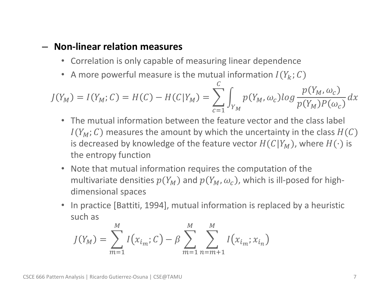#### – **Non-linear relation measures**

- Correlation is only capable of measuring linear dependence
- A more powerful measure is the mutual information  $I(Y_k; C)$

$$
J(Y_M) = I(Y_M; C) = H(C) - H(C|Y_M) = \sum_{c=1}^{C} \int_{Y_M} p(Y_M, \omega_c) \log \frac{p(Y_M, \omega_c)}{p(Y_M)P(\omega_c)} dx
$$

- The mutual information between the feature vector and the class label  $I(Y_M; C)$  measures the amount by which the uncertainty in the class  $H(C)$ is decreased by knowledge of the feature vector  $H(C|Y_M)$ , where  $H(\cdot)$  is the entropy function
- Note that mutual information requires the computation of the multivariate densities  $p(Y_M)$  and  $p(Y_M, \omega_c)$ , which is ill-posed for highdimensional spaces
- In practice [Battiti, 1994], mutual information is replaced by a heuristic such as

$$
J(Y_M) = \sum_{m=1}^{M} I(x_{i_m}; C) - \beta \sum_{m=1}^{M} \sum_{n=m+1}^{M} I(x_{i_m}; x_{i_n})
$$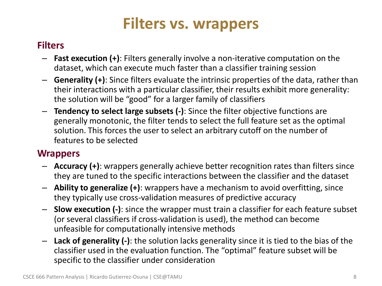## **Filters vs. wrappers**

#### • **Filters**

- **Fast execution (+)**: Filters generally involve a non-iterative computation on the dataset, which can execute much faster than a classifier training session
- **Generality (+)**: Since filters evaluate the intrinsic properties of the data, rather than their interactions with a particular classifier, their results exhibit more generality: the solution will be "good" for a larger family of classifiers
- **Tendency to select large subsets (-)**: Since the filter objective functions are generally monotonic, the filter tends to select the full feature set as the optimal solution. This forces the user to select an arbitrary cutoff on the number of features to be selected

#### • **Wrappers**

- **Accuracy (+)**: wrappers generally achieve better recognition rates than filters since they are tuned to the specific interactions between the classifier and the dataset
- **Ability to generalize (+)**: wrappers have a mechanism to avoid overfitting, since they typically use cross-validation measures of predictive accuracy
- **Slow execution (-)**: since the wrapper must train a classifier for each feature subset (or several classifiers if cross-validation is used), the method can become unfeasible for computationally intensive methods
- **Lack of generality (-)**: the solution lacks generality since it is tied to the bias of the classifier used in the evaluation function. The "optimal" feature subset will be specific to the classifier under consideration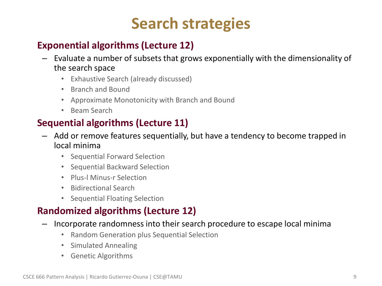## **Search strategies**

### • **Exponential algorithms (Lecture 12)**

- Evaluate a number of subsets that grows exponentially with the dimensionality of the search space
	- Exhaustive Search (already discussed)
	- Branch and Bound
	- Approximate Monotonicity with Branch and Bound
	- Beam Search

### • **Sequential algorithms (Lecture 11)**

- Add or remove features sequentially, but have a tendency to become trapped in local minima
	- Sequential Forward Selection
	- Sequential Backward Selection
	- Plus-l Minus-r Selection
	- Bidirectional Search
	- Sequential Floating Selection

### • **Randomized algorithms (Lecture 12)**

- Incorporate randomness into their search procedure to escape local minima
	- Random Generation plus Sequential Selection
	- Simulated Annealing
	- Genetic Algorithms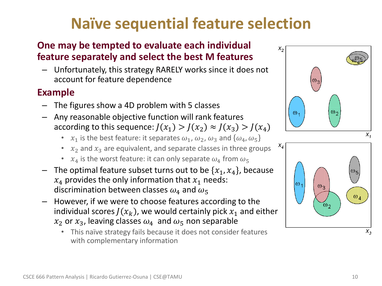# **Naïve sequential feature selection**

#### • **One may be tempted to evaluate each individual feature separately and select the best M features**

– Unfortunately, this strategy RARELY works since it does not account for feature dependence

#### • **Example**

- The figures show a 4D problem with 5 classes
- Any reasonable objective function will rank features according to this sequence:  $J(x_1) > J(x_2) \approx J(x_3) > J(x_4)$ 
	- $x_1$  is the best feature: it separates  $\omega_1$ ,  $\omega_2$ ,  $\omega_3$  and  $\{\omega_4, \omega_5\}$
	- $x_2$  and  $x_3$  are equivalent, and separate classes in three groups
	- $x_4$  is the worst feature: it can only separate  $\omega_4$  from  $\omega_5$
- The optimal feature subset turns out to be  $\{x_1, x_4\}$ , because  $x_4$  provides the only information that  $x_1$  needs: discrimination between classes  $\omega_4$  and  $\omega_5$
- However, if we were to choose features according to the individual scores  $J(x_k)$ , we would certainly pick  $x_1$  and either  $x_2$  or  $x_3$ , leaving classes  $\omega_4$  and  $\omega_5$  non separable
	- This naïve strategy fails because it does not consider features with complementary information



 $X_3$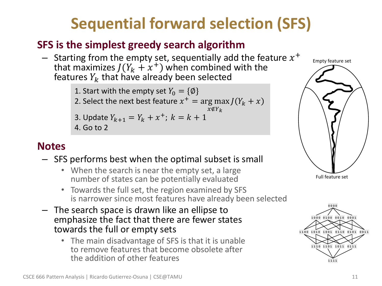# **Sequential forward selection (SFS)**

### • **SFS is the simplest greedy search algorithm**

 $-$  Starting from the empty set, sequentially add the feature  $x^+$ that maximizes  $J(Y_k + x^+)$  when combined with the features  $Y_k$  that have already been selected

> 1. Start with the empty set  $Y_0 = \{\emptyset\}$ 2. Select the next best feature  $x^+ = \arg \max J(Y_k + x)$  $x \notin Y$ 3. Update  $Y_{k+1} = Y_k + x^+$ ;  $k = k + 1$ 4. Go to 2

### • **Notes**

#### – SFS performs best when the optimal subset is small

- When the search is near the empty set, a large number of states can be potentially evaluated
- Towards the full set, the region examined by SFS is narrower since most features have already been selected
- The search space is drawn like an ellipse to emphasize the fact that there are fewer states towards the full or empty sets
	- The main disadvantage of SFS is that it is unable to remove features that become obsolete after the addition of other features



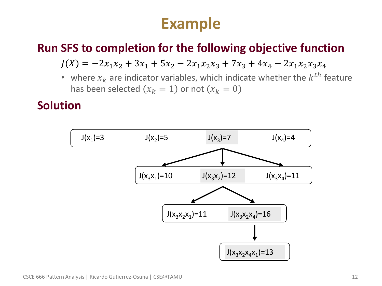## **Example**

### • **Run SFS to completion for the following objective function**

 $J(X) = -2x_1x_2 + 3x_1 + 5x_2 - 2x_1x_2x_3 + 7x_3 + 4x_4 - 2x_1x_2x_3x_4$ 

• where  $x_k$  are indicator variables, which indicate whether the  $k^{th}$  feature has been selected  $(x_k = 1)$  or not  $(x_k = 0)$ 

### • **Solution**

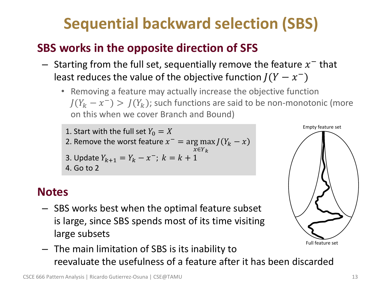# **Sequential backward selection (SBS)**

## • **SBS works in the opposite direction of SFS**

- $-$  Starting from the full set, sequentially remove the feature  $x^-$  that least reduces the value of the objective function  $J(Y - x^{-})$ 
	- Removing a feature may actually increase the objective function  $J(Y_k - x^{-}) > J(Y_k)$ ; such functions are said to be non-monotonic (more on this when we cover Branch and Bound)
	- 1. Start with the full set  $Y_0 = X$ 2. Remove the worst feature  $x^- = \arg \max J(Y_k - x)$  $x \in Y_k$ 3. Update  $Y_{k+1} = Y_k - x^{-}$ ;  $k = k+1$ 4. Go to 2

### • **Notes**

- SBS works best when the optimal feature subset is large, since SBS spends most of its time visiting large subsets
- The main limitation of SBS is its inability to reevaluate the usefulness of a feature after it has been discarded

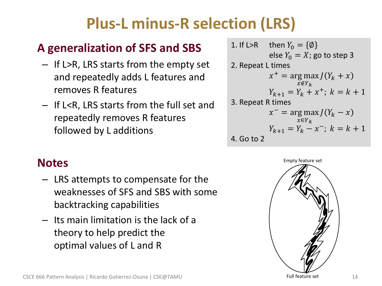# **Plus-L minus-R selection (LRS)**

## • **A generalization of SFS and SBS**

- If L>R, LRS starts from the empty set and repeatedly adds L features and removes R features
- If L<R, LRS starts from the full set and repeatedly removes R features followed by L additions

• **Notes**

- LRS attempts to compensate for the weaknesses of SFS and SBS with some backtracking capabilities
- Its main limitation is the lack of a theory to help predict the optimal values of L and R

1. If L>R then 
$$
Y_0 = \{\emptyset\}
$$
  
\nelse  $Y_0 = X$ ; go to step 3  
\n2. Repeat L times  
\n
$$
x^+ = \arg \max_{x \notin Y_k} J(Y_k + x)
$$
\n
$$
Y_{k+1} = Y_k + x^+; k = k + 1
$$
\n3. Repeat R times  
\n
$$
x^- = \arg \max_{x \in Y_k} J(Y_k - x)
$$
\n
$$
Y_{k+1} = Y_k - x^-; k = k + 1
$$
\n4. Go to 2

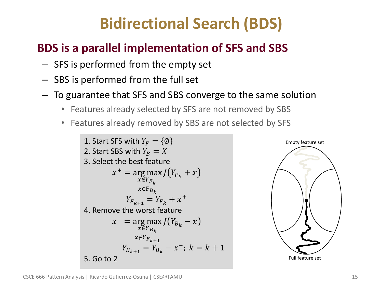# **Bidirectional Search (BDS)**

## • **BDS is a parallel implementation of SFS and SBS**

- SFS is performed from the empty set
- SBS is performed from the full set
- To guarantee that SFS and SBS converge to the same solution
	- Features already selected by SFS are not removed by SBS
	- Features already removed by SBS are not selected by SFS

1. Start SFS with  $Y_F = \{\emptyset\}$ 2. Start SBS with  $Y_R = X$ 3. Select the best feature  $x^+$  = arg max  $J(Y_{F_k} + x)$  $x \notin Y_{F_L}$  $x \in F_{B_k}$  $Y_{F_{k+1}} = Y_{F_k} + x^+$ 4. Remove the worst feature  $x^-$  = arg max  $\tilde{x \in Y_{B_k}}$  $x \notin Y_{F_{k+1}}$  $J(Y_{B_k}-x)$  $Y_{B_{k+1}} = Y_{B_k} - x^{-}; k = k+1$ 5. Go to 2

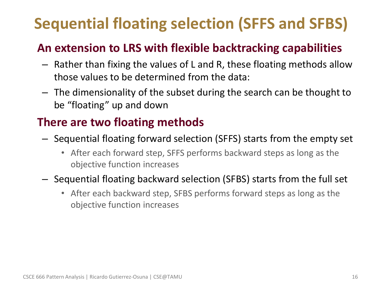# **Sequential floating selection (SFFS and SFBS)**

## • **An extension to LRS with flexible backtracking capabilities**

- Rather than fixing the values of L and R, these floating methods allow those values to be determined from the data:
- The dimensionality of the subset during the search can be thought to be "floating" up and down

### • **There are two floating methods**

- Sequential floating forward selection (SFFS) starts from the empty set
	- After each forward step, SFFS performs backward steps as long as the objective function increases

### – Sequential floating backward selection (SFBS) starts from the full set

• After each backward step, SFBS performs forward steps as long as the objective function increases